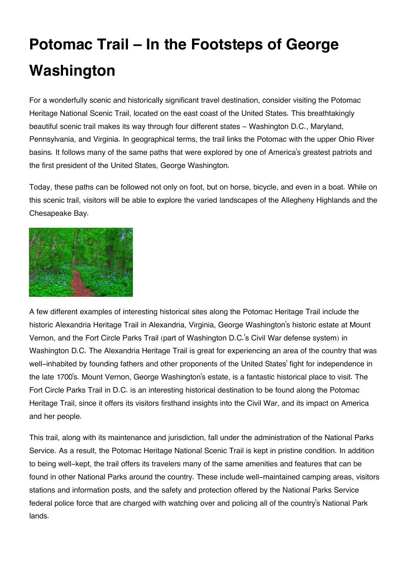## **Potomac Trail – In the Footsteps of George Washington**

For a wonderfully scenic and historically significant travel destination, consider visiting the Potomac Heritage National Scenic Trail, located on the east coast of the United States. This breathtakingly beautiful scenic trail makes its way through four different states – Washington D.C., Maryland, Pennsylvania, and Virginia. In geographical terms, the trail links the Potomac with the upper Ohio River basins. It follows many of the same paths that were explored by one of America's greatest patriots and the first president of the United States, George Washington.

Today, these paths can be followed not only on foot, but on horse, bicycle, and even in a boat. While on this scenic trail, visitors will be able to explore the varied landscapes of the Allegheny Highlands and the Chesapeake Bay.



A few different examples of interesting historical sites along the Potomac Heritage Trail include the historic Alexandria Heritage Trail in Alexandria, Virginia, George Washington's historic estate at Mount Vernon, and the Fort Circle Parks Trail (part of Washington D.C.'s Civil War defense system) in Washington D.C. The Alexandria Heritage Trail is great for experiencing an area of the country that was well-inhabited by founding fathers and other proponents of the United States' fight for independence in the late 1700's. Mount Vernon, George Washington's estate, is a fantastic historical place to visit. The Fort Circle Parks Trail in D.C. is an interesting historical destination to be found along the Potomac Heritage Trail, since it offers its visitors firsthand insights into the Civil War, and its impact on America and her people.

This trail, along with its maintenance and jurisdiction, fall under the administration of the National Parks Service. As a result, the Potomac Heritage National Scenic Trail is kept in pristine condition. In addition to being well-kept, the trail offers its travelers many of the same amenities and features that can be found in other National Parks around the country. These include well-maintained camping areas, visitors stations and information posts, and the safety and protection offered by the National Parks Service federal police force that are charged with watching over and policing all of the country's National Park lands.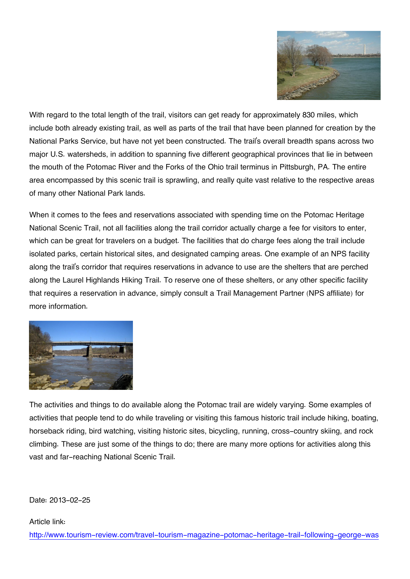

With regard to the total length of the trail, visitors can get ready for approximately 830 miles, which include both already existing trail, as well as parts of the trail that have been planned for creation by the National Parks Service, but have not yet been constructed. The trail's overall breadth spans across two major U.S. watersheds, in addition to spanning five different geographical provinces that lie in between the mouth of the Potomac River and the Forks of the Ohio trail terminus in Pittsburgh, PA. The entire area encompassed by this scenic trail is sprawling, and really quite vast relative to the respective areas of many other National Park lands.

When it comes to the fees and reservations associated with spending time on the Potomac Heritage National Scenic Trail, not all facilities along the trail corridor actually charge a fee for visitors to enter, which can be great for travelers on a budget. The facilities that do charge fees along the trail include isolated parks, certain historical sites, and designated camping areas. One example of an NPS facility along the trail's corridor that requires reservations in advance to use are the shelters that are perched along the Laurel Highlands Hiking Trail. To reserve one of these shelters, or any other specific facility that requires a reservation in advance, simply consult a Trail Management Partner (NPS affiliate) for more information.



The activities and things to do available along the Potomac trail are widely varying. Some examples of activities that people tend to do while traveling or visiting this famous historic trail include hiking, boating, horseback riding, bird watching, visiting historic sites, bicycling, running, cross-country skiing, and rock climbing. These are just some of the things to do; there are many more options for activities along this vast and far-reaching National Scenic Trail.

Date: 2013-02-25

## Article link:

[http://www.tourism-review.com/travel-tourism-magazine-potomac-heritage-trail-following-george-was](http://www.tourism-review.com/travel-tourism-magazine-potomac-heritage-trail-following-george-washington-article2045)